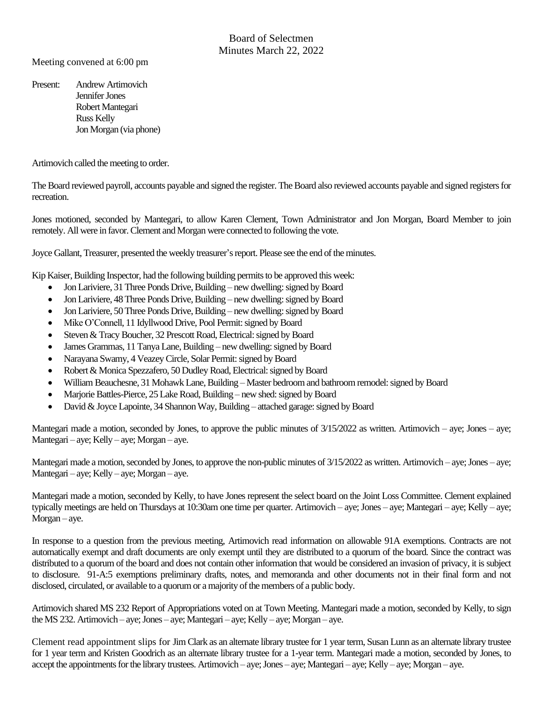Meeting convened at 6:00 pm

Present: Andrew Artimovich Jennifer Jones Robert Mantegari Russ Kelly Jon Morgan (via phone)

Artimovich called the meeting to order.

The Board reviewed payroll, accounts payable and signed the register. The Board also reviewed accounts payable and signed registers for recreation.

Jones motioned, seconded by Mantegari, to allow Karen Clement, Town Administrator and Jon Morgan, Board Member to join remotely. All were in favor. Clement and Morgan were connected to following the vote.

Joyce Gallant, Treasurer, presented the weekly treasurer's report. Please see the end of theminutes.

Kip Kaiser, Building Inspector, had the following building permits to be approved this week:

- Jon Lariviere, 31 Three Ponds Drive, Building new dwelling: signed by Board
- Jon Lariviere, 48Three Ponds Drive, Building new dwelling: signed by Board
- Jon Lariviere, 50Three Ponds Drive, Building new dwelling: signed by Board
- Mike O'Connell, 11 Idyllwood Drive, Pool Permit: signed by Board
- Steven & Tracy Boucher, 32 Prescott Road, Electrical: signed by Board
- James Grammas, 11 Tanya Lane, Building new dwelling: signed by Board
- Narayana Swamy, 4 Veazey Circle, Solar Permit: signed by Board
- Robert & Monica Spezzafero, 50 Dudley Road, Electrical: signed by Board
- William Beauchesne, 31 Mohawk Lane, Building Master bedroom and bathroom remodel: signed by Board
- Marjorie Battles-Pierce, 25 Lake Road, Building new shed: signed by Board
- David & Joyce Lapointe, 34 Shannon Way, Building attached garage: signed by Board

Mantegari made a motion, seconded by Jones, to approve the public minutes of  $3/15/2022$  as written. Artimovich – aye; Jones – aye; Mantegari – aye; Kelly – aye; Morgan – aye.

Mantegari made a motion, seconded by Jones, to approve the non-public minutes of  $3/15/2022$  as written. Artimovich – aye; Jones – aye; Mantegari – aye; Kelly – aye; Morgan – aye.

Mantegari made a motion, seconded by Kelly, to have Jones represent the select board on the Joint Loss Committee. Clement explained typically meetings are held on Thursdays at 10:30am one time per quarter. Artimovich – aye; Jones – aye; Mantegari – aye; Kelly – aye; Morgan – aye.

In response to a question from the previous meeting, Artimovich read information on allowable 91A exemptions. Contracts are not automatically exempt and draft documents are only exempt until they are distributed to a quorum of the board. Since the contract was distributed to a quorum of the board and does not contain other information that would be considered an invasion of privacy, it is subject to disclosure. 91-A:5 exemptions preliminary drafts, notes, and memoranda and other documents not in their final form and not disclosed, circulated, or available to a quorum or a majority of the members of a public body.

Artimovich shared MS 232 Report of Appropriations voted on at Town Meeting. Mantegari made a motion, seconded by Kelly, to sign the MS 232. Artimovich – aye; Jones – aye; Mantegari – aye; Kelly – aye; Morgan – aye.

Clement read appointment slips for Jim Clark as an alternate library trustee for 1 year term, Susan Lunn as an alternate library trustee for 1 year term and Kristen Goodrich as an alternate library trustee for a 1-year term. Mantegari made a motion, seconded by Jones, to accept the appointments for the library trustees. Artimovich – aye; Jones – aye; Mantegari – aye; Kelly – aye; Morgan – aye.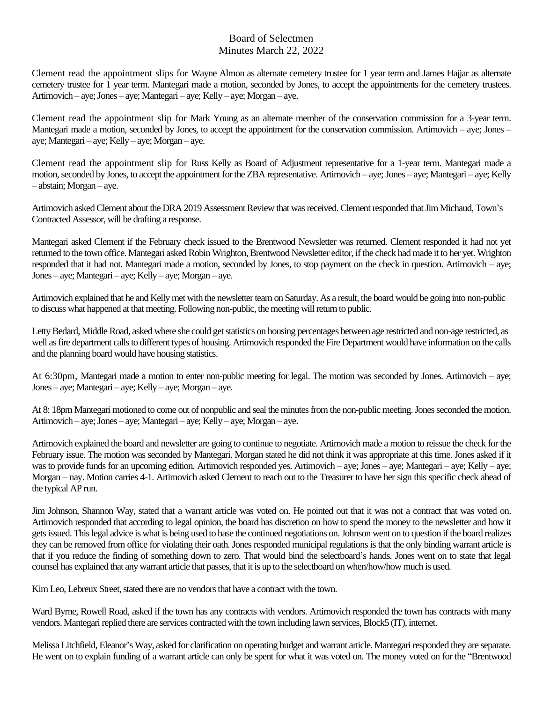Clement read the appointment slips for Wayne Almon as alternate cemetery trustee for 1 year term and James Hajjar as alternate cemetery trustee for 1 year term. Mantegari made a motion, seconded by Jones, to accept the appointments for the cemetery trustees. Artimovich – aye; Jones – aye; Mantegari – aye; Kelly – aye; Morgan – aye.

Clement read the appointment slip for Mark Young as an alternate member of the conservation commission for a 3-year term. Mantegari made a motion, seconded by Jones, to accept the appointment for the conservation commission. Artimovich – aye; Jones – aye; Mantegari – aye; Kelly – aye; Morgan – aye.

Clement read the appointment slip for Russ Kelly as Board of Adjustment representative for a 1-year term. Mantegari made a motion, seconded by Jones, to accept the appointment for the ZBA representative. Artimovich – aye; Jones – aye; Mantegari – aye; Kelly – abstain; Morgan – aye.

Artimovich asked Clement about the DRA 2019 Assessment Review that was received.Clement responded that Jim Michaud, Town's Contracted Assessor, will be drafting a response.

Mantegari asked Clement if the February check issued to the Brentwood Newsletter was returned. Clement responded it had not yet returned to the town office. Mantegari asked Robin Wrighton, Brentwood Newsletter editor, if the check had made it to her yet. Wrighton responded that it had not. Mantegari made a motion, seconded by Jones, to stop payment on the check in question. Artimovich – aye; Jones – aye; Mantegari – aye; Kelly – aye; Morgan – aye.

Artimovich explained that he and Kelly met with the newsletter team on Saturday. As a result, the board would be going into non-public to discuss what happened at that meeting. Following non-public, the meeting will return to public.

Letty Bedard, Middle Road, asked where she could get statistics on housing percentages between age restricted and non-age restricted, as well as fire department calls to different types of housing. Artimovich responded the Fire Department would have information on the calls and the planning board would have housing statistics.

At 6:30pm, Mantegari made a motion to enter non-public meeting for legal. The motion was seconded by Jones. Artimovich – aye; Jones – aye; Mantegari – aye; Kelly – aye; Morgan – aye.

At 8: 18pm Mantegari motioned to come out of nonpublic and seal the minutes from the non-public meeting. Jones seconded the motion. Artimovich – aye; Jones – aye; Mantegari – aye; Kelly – aye; Morgan – aye.

Artimovich explained the board and newsletter are going to continue to negotiate. Artimovich made a motion to reissue the check for the February issue. The motion was seconded by Mantegari. Morgan stated he did not think it was appropriate at this time. Jones asked if it was to provide funds for an upcoming edition. Artimovich responded yes. Artimovich – aye; Jones – aye; Mantegari – aye; Kelly – aye; Morgan – nay. Motion carries 4-1. Artimovich asked Clement to reach out to the Treasurer to have her sign this specific check ahead of the typical AP run.

Jim Johnson, Shannon Way, stated that a warrant article was voted on. He pointed out that it was not a contract that was voted on. Artimovich responded that according to legal opinion, the board has discretion on how to spend the money to the newsletter and how it gets issued. This legal advice is what is being used to base the continued negotiations on. Johnson went on to question if the board realizes they can be removed from office for violating their oath. Jones responded municipal regulationsis that the only binding warrant article is that if you reduce the finding of something down to zero. That would bind the selectboard's hands. Jones went on to state that legal counsel has explained that any warrant article that passes, that it is up to the selectboard on when/how/howmuch is used.

Kim Leo, Lebreux Street, stated there are no vendors that have a contract with the town.

Ward Byrne, Rowell Road, asked if the town has any contracts with vendors. Artimovich responded the town has contracts with many vendors. Mantegari replied there are services contracted with the town including lawn services, Block5 (IT), internet.

Melissa Litchfield, Eleanor's Way, asked for clarification on operating budget and warrant article. Mantegari responded they are separate. He went on to explain funding of a warrant article can only be spent for what it was voted on. The money voted on for the "Brentwood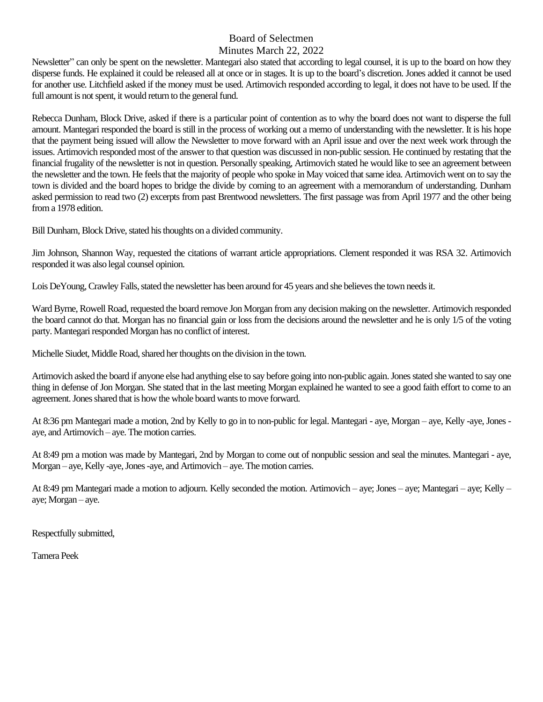Newsletter" can only be spent on the newsletter. Mantegari also stated that according to legal counsel, it is up to the board on how they disperse funds. He explained it could be released all at once or in stages. It is up to the board's discretion. Jones added it cannot be used for another use. Litchfield asked if the money must be used. Artimovich responded according to legal, it does not have to be used. If the full amount is not spent, it would return to the general fund.

Rebecca Dunham, Block Drive, asked if there is a particular point of contention as to why the board does not want to disperse the full amount. Mantegari responded the board is still in the process of working out a memo of understanding with the newsletter. It is his hope that the payment being issued will allow the Newsletter to move forward with an April issue and over the next week work through the issues. Artimovich responded most of the answer to that question was discussed in non-public session. He continued by restating that the financial frugality of the newsletter is not in question. Personally speaking, Artimovich stated he would like to see an agreement between the newsletter and the town. He feels that the majority of people who spoke in May voiced that same idea. Artimovich went on to say the town is divided and the board hopes to bridge the divide by coming to an agreement with a memorandum of understanding. Dunham asked permission to read two (2) excerpts from past Brentwood newsletters. The first passage was from April 1977 and the other being from a 1978 edition.

Bill Dunham, Block Drive, stated his thoughts on a divided community.

Jim Johnson, Shannon Way, requested the citations of warrant article appropriations. Clement responded it was RSA 32. Artimovich responded it was also legal counsel opinion.

Lois DeYoung, Crawley Falls, stated the newsletter has been around for 45 years and she believes the town needs it.

Ward Byrne, Rowell Road, requested the board remove Jon Morgan from any decision making on the newsletter. Artimovich responded the board cannot do that. Morgan has no financial gain or loss from the decisions around the newsletter and he is only 1/5 of the voting party. Mantegari responded Morgan has no conflict of interest.

Michelle Siudet, Middle Road, shared her thoughts on the division in the town.

Artimovich asked the board if anyone else had anything else to say before going into non-public again. Jones stated she wanted to say one thing in defense of Jon Morgan. She stated that in the last meeting Morgan explained he wanted to see a good faith effort to come to an agreement. Jones shared that is how the whole board wants to move forward.

At 8:36 pm Mantegari made a motion, 2nd by Kelly to go in to non-public for legal. Mantegari - aye, Morgan – aye, Kelly -aye, Jones aye, and Artimovich – aye. The motion carries.

At 8:49 pm a motion was made by Mantegari, 2nd by Morgan to come out of nonpublic session and seal the minutes. Mantegari - aye, Morgan – aye, Kelly -aye, Jones -aye, and Artimovich – aye. The motion carries.

At 8:49 pm Mantegari made a motion to adjourn. Kelly seconded the motion. Artimovich – aye; Jones – aye; Mantegari – aye; Kelly – aye; Morgan – aye.

Respectfully submitted,

Tamera Peek